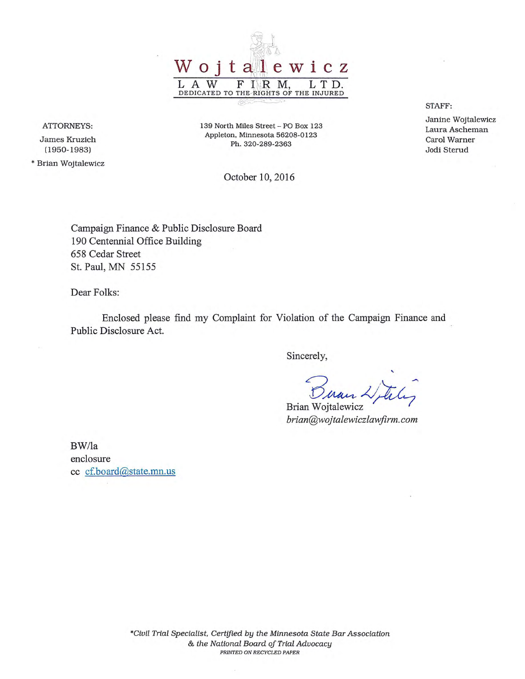

**ATTORNEYS:** 

James Kruzich (1950-1983)

\* Brian Wojtalewicz

139 North Miles Street- PO Box 123 Appleton, Minnesota 56208-0123 Ph. 320-289-2363

October 10, 2016

Campaign Finance & Public Disclosure Board 190 Centennial Office Building 658 Cedar Street St. Paul, MN 55155

Dear Folks:

Enclosed please find my Complaint for Violation of the Campaign Finance and Public Disclosure Act.

Sincerely,

' Buan Letter

*brian@wojtalewiczlawfirm.com* 

BW/la enclosure cc cf.board@state.mn.us STAFF:

Janine Wojtalewicz Laura Ascheman Carol Warner Jodi Sterud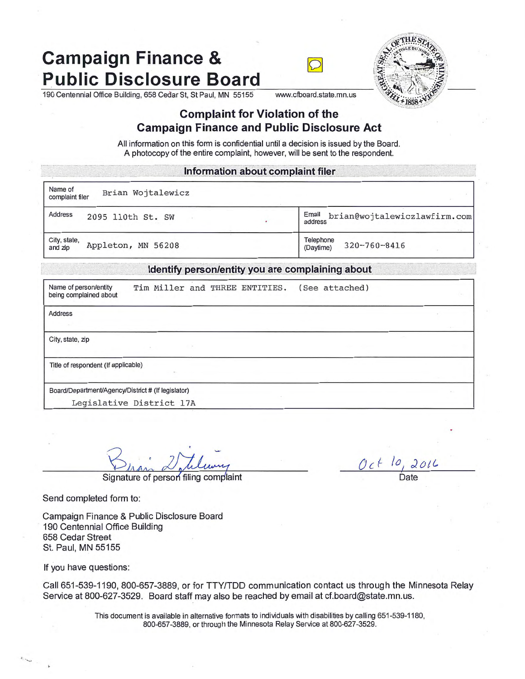# **Campaign Finance &<br>Public Disclosure Board**





190 Centennial Office Building, 658 Cedar St, St Paul, MN 55155 www.cfboard.state.mn.us

## **Complaint for Violation of the Campaign Finance and Public Disclosure Act**

All information on this form is confidential until a decision is issued by the Board. A photocopy of the entire complaint, however, will be sent to the respondent.

#### $ln$  formation about complaint filer

Name of Brian Wojtalewicz

Address 2095 ll0th St. SW . The set of the set of the set of the set of the set of the set of the set of the set of the set of the set of the set of the set of the set of the set of the set of the set of the set of the set

City, state,  $\Delta$  Appleton, MN 56208  $\Delta$  Telephone 320-760-8416

#### ldentify person/entity you are complaining about

| Name of person/entity<br>being complained about    |  |  | Tim Miller and THREE ENTITIES. | (See attached) |  |
|----------------------------------------------------|--|--|--------------------------------|----------------|--|
| <b>Address</b>                                     |  |  |                                |                |  |
| City, state, zip                                   |  |  |                                |                |  |
| Title of respondent (If applicable)                |  |  |                                |                |  |
| Board/Department/Agency/District # (If legislator) |  |  |                                |                |  |
| Legislative District 17A                           |  |  |                                |                |  |

Signature of person filing complaint

Send completed form to:

Campaign Finance & Public Disclosure Board 190 Centennial Office Building 658 Cedar Street St. Paul, MN 55155

If you have questions:

......

Call 651-539-1190, 800-657-3889, or for TTY/TDD communication contact us through the Minnesota Relay Service at 800-627-3529. Board staff may also be reached by email at cf.board@state.mn.us.

> This document is available in alternative formats to individuals with disabilities by calling 651-539-1180, 800-657-3889, or through the Minnesota Relay Service at 800-627-3529 .

 $Oc \leftarrow \frac{10}{\text{Date}}$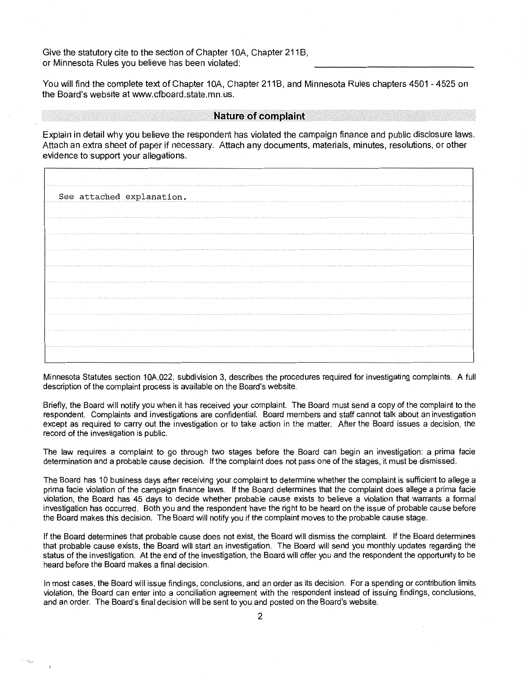Give the statutory cite to the section of Chapter 10A, Chapter 211B, or Minnesota Rules you believe has been violated:

You will find the complete text of Chapter 10A, Chapter 211B, and Minnesota Rules chapters 4501 - 4525 on the Board's website at www.cfboard.state.mn.us.

#### **Nature of complaint**

Explain in detail why you believe the respondent has violated the campaign finance and public disclosure laws. Attach an extra sheet of paper if necessary. Attach any documents, materials, minutes, resolutions, or other evidence to support your allegations.

|                          | See attached explanation.                                                                                                                                                                                                                                 |
|--------------------------|-----------------------------------------------------------------------------------------------------------------------------------------------------------------------------------------------------------------------------------------------------------|
| $\sim$                   |                                                                                                                                                                                                                                                           |
|                          | A RECORD TO ANTEREST A RECORD TO A RECORD TO A RECORD TO A RECORD TO A RECORD TO A RECORD TO A RECORD TO A RECORD TO A RECORD TO A RECORD TO A RECORD TO A RECORD TO A RECORD TO A RECORD TO A RECORD TO A RECORD TO A RECORD<br>$\sim$                   |
| <b>Contract Contract</b> | AN ACTIVE A REFERENCE EXCEPT AND THE RESIDENT OF RESIDENCE AND A PARTY AND A PARTY AND A SUBJECT OF A RESIDENT OF THE RESIDENT OF PERSONS AN ARCHIVES AN ARCHIVES AN ARCHIVES AN ARCHIVES AN ARCHIVES AN ARCHIVES AN ARCHIVES<br><b>Contract Contract</b> |
|                          |                                                                                                                                                                                                                                                           |
|                          | ALSO INVESTIGATION CONTINUES INTO A REPORT OF THE CONTINUES INTO A RELEASED VANDALISE CONTINUES INTO A REPORT OF THE CONTINUES INTO A RELEASED PROCESS AND A VANAGE AND VANAGE AND VANAGE AND CONTINUES INTO A RELEASED FOR A                             |
|                          |                                                                                                                                                                                                                                                           |
| <b>Contractor</b>        | A GOOD CONTROLL OF CHAIN CONTROL CONTROLL OF A GOOD COLLEGE INTO THE COLLEGE INTO A GOOD COLLEGE INTO A GOOD COLLEGE INTO A GOOD COLLEGE INTO A GOOD COLLEGE INTO A GOOD COLLEGE INTO A GOOD COLLEGE INTO A GOOD COLLEGE INTO                             |
|                          |                                                                                                                                                                                                                                                           |
|                          |                                                                                                                                                                                                                                                           |
|                          |                                                                                                                                                                                                                                                           |

Minnesota Statutes section 10A.022, subdivision 3, describes the procedures required for investigating complaints. A full description of the complaint process is available on the Board's website.

Briefly, the Board will notify you when it has received your complaint. The Board must send a copy of the complaint to the respondent. Complaints and investigations are confidential. Board members and staff cannot talk about an investigation except as required to carry out the investigation or to take action in the matter. After the Board issues a decision, the record of the investigation is public.

The law requires a complaint to go through two stages before the Board can begin an investigation: a prima facie determination and a probable cause decision. If the complaint does not pass one of the stages, it must be dismissed.

The Board has 10 business days after receiving your complaint to determine whether the complaint is sufficient to allege a prima facie violation of the campaign finance laws. If the Board determines that the complaint does allege a prima facie violation, the Board has 45 days to decide whether probable cause exists to believe a violation that warrants a formal investigation has occurred. Both you and the respondent have the right to be heard on the issue of probable cause before the Board makes this decision. The Board will notify you if the complaint moves to the probable cause stage.

If the Board determines that probable cause does not exist, the Board will dismiss the complaint. If the Board determines that probable cause exists, the Board will start an investigation. The Board will send you monthly updates regarding the status of the investigation. At the end of the investigation, the Board will offer you and the respondent the opportunity to be heard before the Board makes a final decision.

In most cases, the Board will issue findings, conclusions, and an order as its decision. For a spending or contribution limits violation, the Board can enter into a conciliation agreement with the respondent instead of issuing findings, conclusions, and an order. The Board's final decision will be sent to you and posted on the Board's website.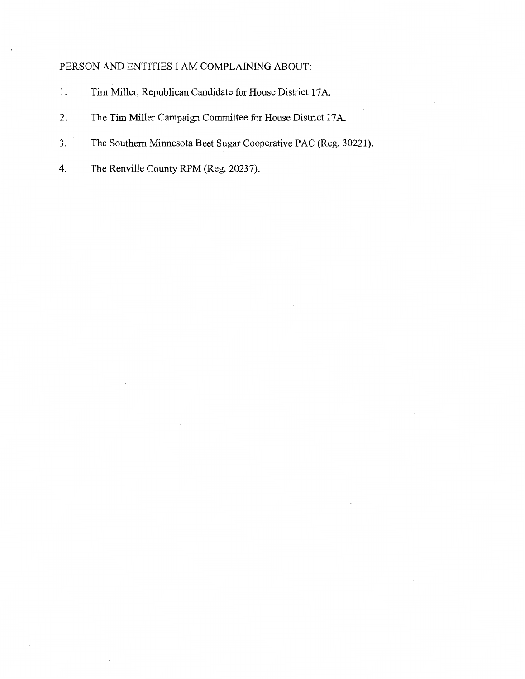### PERSON AND ENTITIES I AM COMPLAINING ABOUT:

- 1. Tim Miller, Republican Candidate for House District 17 A.
- 2. The Tim Miller Campaign Committee for House District 17A.
- 3. The Southern Minnesota Beet Sugar Cooperative PAC (Reg. 30221).
- 4. The Renville County RPM (Reg. 20237).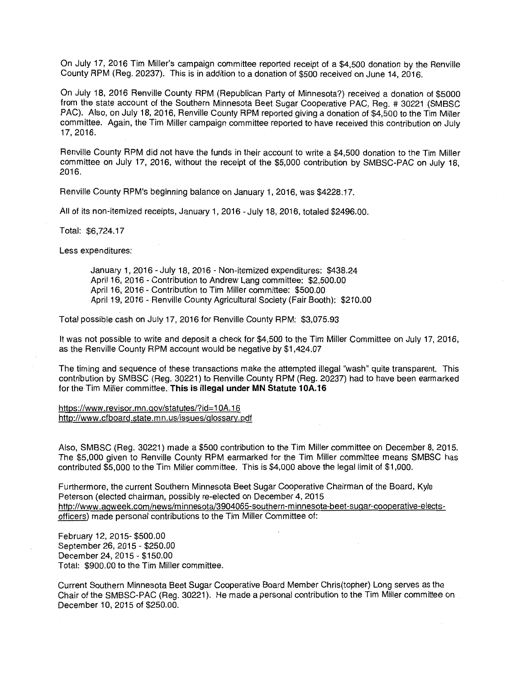On July 17, 2016 Tim Miller's campaign committee reported receipt of a \$4,500 donation by the Renville County RPM (Reg. 20237). This is in addition to a donation of \$500 received on June 14, 2016.

On July 18, 2016 Renville County RPM (Republican Party of Minnesota?) received a donation of \$5000 from the state account of the Southern Minnesota Beet Sugar Cooperative PAC, Reg. # 30221 (SMBSC PAC). Also, on July 18, 2016, Renville County RPM reported giving a donation of \$4,500 to the Tim Miller committee. Again, the Tim Miller campaign committee reported to have received this contribution on July 17, 2016.

Renville County RPM did not have the funds in their account to write a \$4,500 donation to the Tim Miller committee on July 17, 2016, without the receipt of the \$5,000 contribution by SMBSC-PAC on July 18, 2016.

Renville County RPM's beginning balance on January 1, 2016, was \$4228.17.

All of its non-itemized receipts, January 1, 2016 - July 18, 2016, totaled \$2496.00.

Total: \$6,724.17

Less expenditures:

January 1, 2016 - July 18, 2016 - Non-itemized expenditures: \$438.24 April 16, 2016 - Contribution to Andrew Lang committee: \$2,500.00 April 16, 2016 - Contribution to Tim Miller committee: \$500.00 April 19, 2016 - Renville County Agricultural Society (Fair Booth): \$210.00

Total possible cash on July 17, 2016 for Renville County RPM: \$3,075.93

It was not possible to write and deposit a check for \$4,500 to the Tim Miller Committee on July 17, 2016, as the Renville County RPM account would be negative by \$1,424.07

The timing and sequence of these transactions make the attempted illegal "wash" quite transparent. This contribution by SMBSC (Reg. 30221) to Renville County RPM (Reg. 20237) had to have been earmarked for the Tim Miller committee. **This is illegal under MN Statute 10A.16** 

https://www.revisor.mn.gov/statutes/?id=1 OA.16 http://www.cfboard.state.mn.us/issues/glossarv.pdf

Also, SMBSC (Reg. 30221) made a \$500 contribution to the Tim Miller committee on December 8, 2015. The \$5,000 given to Renville County RPM earmarked for the Tim Miller committee means SMBSC has contributed \$5,000 to the Tim Miller committee. This is \$4,000 above the legal limit of \$1,000.

Furthermore, the current Southern Minnesota Beet Sugar Cooperative Chairman of the Board, Kyle Peterson (elected chairman, possibly re-elected on December 4, 2015 http://www.agweek.com/news/minnesota/3904065-southern-minnesota-beet-sugar-cooperative-electsofficers) made personal contributions to the Tim Miller Committee of:

February 12, 2015- \$500.00 September 26, 2015 - \$250.00 December 24, 2015 - \$150.00 Total: \$900.00 to the Tim Miller committee.

Current Southern Minnesota Beet Sugar Cooperative Board Member Chris(topher) Long serves as the Chair of the SMBSC-PAC (Reg. 30221). He made a personal contribution to the Tim Miller committee on December 10, 2015 of \$250.00.